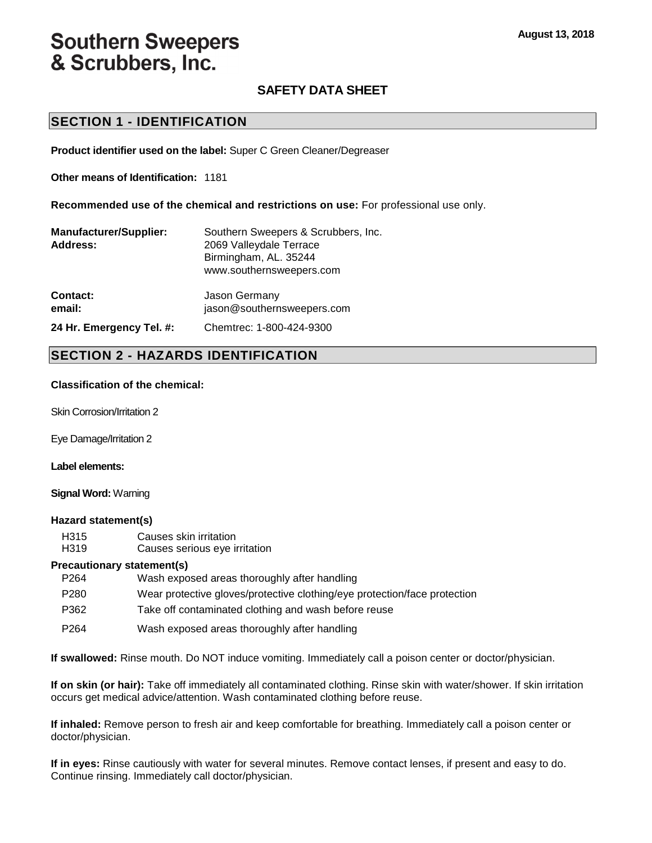# **Southern Sweepers** & Scrubbers, Inc.

# **SAFETY DATA SHEET**

### **SECTION 1 - IDENTIFICATION**

**Product identifier used on the label:** Super C Green Cleaner/Degreaser

**Other means of Identification:** 1181

**Recommended use of the chemical and restrictions on use:** For professional use only.

| <b>Manufacturer/Supplier:</b><br>Address: | Southern Sweepers & Scrubbers, Inc.<br>2069 Valleydale Terrace<br>Birmingham, AL. 35244<br>www.southernsweepers.com |  |  |  |
|-------------------------------------------|---------------------------------------------------------------------------------------------------------------------|--|--|--|
| Contact:                                  | Jason Germany                                                                                                       |  |  |  |
| email:                                    | jason@southernsweepers.com                                                                                          |  |  |  |

**24 Hr. Emergency Tel. #:** Chemtrec: 1-800-424-9300

#### **SECTION 2 - HAZARDS IDENTIFICATION**

#### **Classification of the chemical:**

Skin Corrosion/Irritation 2

Eye Damage/Irritation 2

#### **Label elements:**

#### **Signal Word:** Warning

#### **Hazard statement(s)**

| H315 | Causes skin irritation        |
|------|-------------------------------|
| H319 | Causes serious eye irritation |

#### **Precautionary statement(s)**

| P <sub>264</sub> | Wash exposed areas thoroughly after handling                              |
|------------------|---------------------------------------------------------------------------|
| P <sub>280</sub> | Wear protective gloves/protective clothing/eye protection/face protection |
| P362             | Take off contaminated clothing and wash before reuse                      |
| P <sub>264</sub> | Wash exposed areas thoroughly after handling                              |

**If swallowed:** Rinse mouth. Do NOT induce vomiting. Immediately call a poison center or doctor/physician.

**If on skin (or hair):** Take off immediately all contaminated clothing. Rinse skin with water/shower. If skin irritation occurs get medical advice/attention. Wash contaminated clothing before reuse.

**If inhaled:** Remove person to fresh air and keep comfortable for breathing. Immediately call a poison center or doctor/physician.

**If in eyes:** Rinse cautiously with water for several minutes. Remove contact lenses, if present and easy to do. Continue rinsing. Immediately call doctor/physician.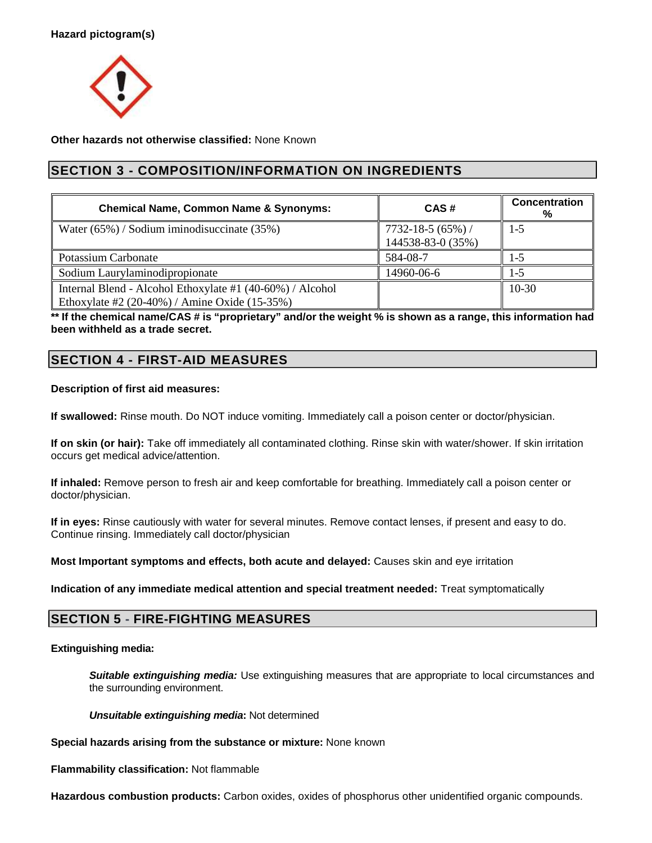

**Other hazards not otherwise classified:** None Known

# **SECTION 3 - COMPOSITION/INFORMATION ON INGREDIENTS**

| <b>Chemical Name, Common Name &amp; Synonyms:</b>                                                              | CAS#                                      | Concentration<br>% |
|----------------------------------------------------------------------------------------------------------------|-------------------------------------------|--------------------|
| Water (65%) / Sodium iminodisuccinate (35%)                                                                    | $7732 - 18 - 5(65%)$<br>144538-83-0 (35%) | $1-5$              |
| <b>Potassium Carbonate</b>                                                                                     | 584-08-7                                  | 1-5                |
| Sodium Laurylaminodipropionate                                                                                 | 14960-06-6                                | 1-5                |
| Internal Blend - Alcohol Ethoxylate #1 (40-60%) / Alcohol<br>Ethoxylate #2 $(20-40%)$ / Amine Oxide $(15-35%)$ |                                           | $10-30$            |

**\*\* If the chemical name/CAS # is "proprietary" and/or the weight % is shown as a range, this information had been withheld as a trade secret.** 

# **SECTION 4 - FIRST-AID MEASURES**

#### **Description of first aid measures:**

**If swallowed:** Rinse mouth. Do NOT induce vomiting. Immediately call a poison center or doctor/physician.

**If on skin (or hair):** Take off immediately all contaminated clothing. Rinse skin with water/shower. If skin irritation occurs get medical advice/attention.

**If inhaled:** Remove person to fresh air and keep comfortable for breathing. Immediately call a poison center or doctor/physician.

**If in eyes:** Rinse cautiously with water for several minutes. Remove contact lenses, if present and easy to do. Continue rinsing. Immediately call doctor/physician

**Most Important symptoms and effects, both acute and delayed:** Causes skin and eye irritation

**Indication of any immediate medical attention and special treatment needed:** Treat symptomatically

### **SECTION 5 - FIRE-FIGHTING MEASURES**

#### **Extinguishing media:**

**Suitable extinguishing media:** Use extinguishing measures that are appropriate to local circumstances and the surrounding environment.

**Unsuitable extinguishing media:** Not determined

**Special hazards arising from the substance or mixture:** None known

**Flammability classification:** Not flammable

**Hazardous combustion products:** Carbon oxides, oxides of phosphorus other unidentified organic compounds.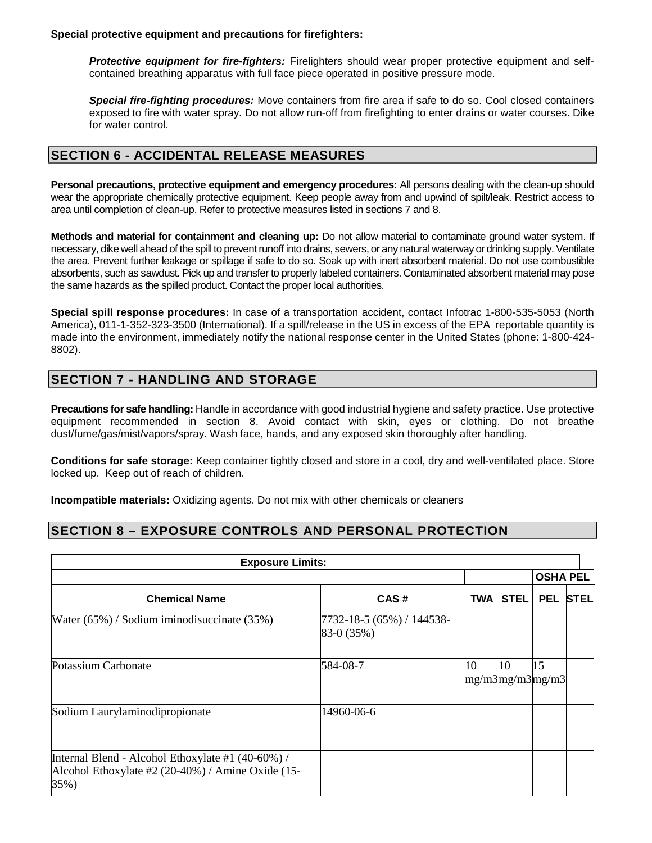**Special protective equipment and precautions for firefighters:** 

**Protective equipment for fire-fighters:** Firelighters should wear proper protective equipment and selfcontained breathing apparatus with full face piece operated in positive pressure mode.

**Special fire-fighting procedures:** Move containers from fire area if safe to do so. Cool closed containers exposed to fire with water spray. Do not allow run-off from firefighting to enter drains or water courses. Dike for water control.

# **SECTION 6 - ACCIDENTAL RELEASE MEASURES**

**Personal precautions, protective equipment and emergency procedures:** All persons dealing with the clean-up should wear the appropriate chemically protective equipment. Keep people away from and upwind of spilt/leak. Restrict access to area until completion of clean-up. Refer to protective measures listed in sections 7 and 8.

**Methods and material for containment and cleaning up:** Do not allow material to contaminate ground water system. If necessary, dike well ahead of the spill to prevent runoff into drains, sewers, or any natural waterway or drinking supply. Ventilate the area. Prevent further leakage or spillage if safe to do so. Soak up with inert absorbent material. Do not use combustible absorbents, such as sawdust. Pick up and transfer to properly labeled containers. Contaminated absorbent material may pose the same hazards as the spilled product. Contact the proper local authorities.

**Special spill response procedures:** In case of a transportation accident, contact Infotrac 1-800-535-5053 (North America), 011-1-352-323-3500 (International). If a spill/release in the US in excess of the EPA reportable quantity is made into the environment, immediately notify the national response center in the United States (phone: 1-800-424- 8802).

# **SECTION 7 - HANDLING AND STORAGE**

**Precautions for safe handling:** Handle in accordance with good industrial hygiene and safety practice. Use protective equipment recommended in section 8. Avoid contact with skin, eyes or clothing. Do not breathe dust/fume/gas/mist/vapors/spray. Wash face, hands, and any exposed skin thoroughly after handling.

**Conditions for safe storage:** Keep container tightly closed and store in a cool, dry and well-ventilated place. Store locked up. Keep out of reach of children.

**Incompatible materials:** Oxidizing agents. Do not mix with other chemicals or cleaners

### **SECTION 8 – EXPOSURE CONTROLS AND PERSONAL PROTECTION**

| <b>Exposure Limits:</b>                                                                                        |                                         |    |                 |                       |             |
|----------------------------------------------------------------------------------------------------------------|-----------------------------------------|----|-----------------|-----------------------|-------------|
|                                                                                                                |                                         |    |                 | <b>OSHA PEL</b>       |             |
| <b>Chemical Name</b>                                                                                           | CAS#                                    |    | <b>TWA STEL</b> | <b>PEL</b>            | <b>STEL</b> |
| Water $(65\%)$ / Sodium iminodisuccinate $(35\%)$                                                              | 7732-18-5 (65%) / 144538-<br>83-0 (35%) |    |                 |                       |             |
| Potassium Carbonate                                                                                            | 584-08-7                                | 10 | 10              | 15<br>mg/m3mg/m3mg/m3 |             |
| Sodium Laurylaminodipropionate                                                                                 | 14960-06-6                              |    |                 |                       |             |
| Internal Blend - Alcohol Ethoxylate #1 (40-60%) /<br>Alcohol Ethoxylate #2 (20-40%) / Amine Oxide (15-<br>35%) |                                         |    |                 |                       |             |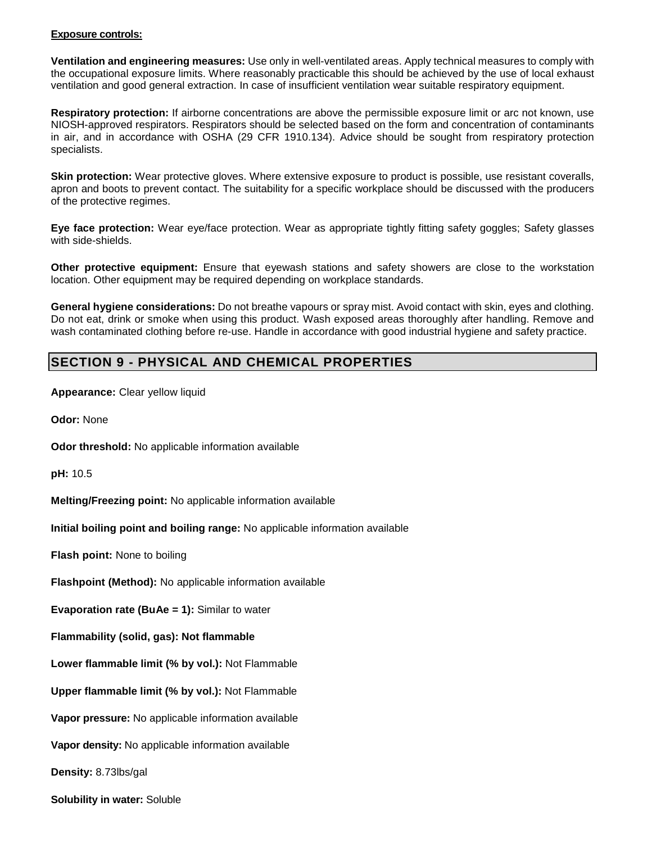#### **Exposure controls:**

**Ventilation and engineering measures:** Use only in well-ventilated areas. Apply technical measures to comply with the occupational exposure limits. Where reasonably practicable this should be achieved by the use of local exhaust ventilation and good general extraction. In case of insufficient ventilation wear suitable respiratory equipment.

**Respiratory protection:** If airborne concentrations are above the permissible exposure limit or arc not known, use NIOSH-approved respirators. Respirators should be selected based on the form and concentration of contaminants in air, and in accordance with OSHA (29 CFR 1910.134). Advice should be sought from respiratory protection specialists.

**Skin protection:** Wear protective gloves. Where extensive exposure to product is possible, use resistant coveralls, apron and boots to prevent contact. The suitability for a specific workplace should be discussed with the producers of the protective regimes.

**Eye face protection:** Wear eye/face protection. Wear as appropriate tightly fitting safety goggles; Safety glasses with side-shields.

**Other protective equipment:** Ensure that eyewash stations and safety showers are close to the workstation location. Other equipment may be required depending on workplace standards.

**General hygiene considerations:** Do not breathe vapours or spray mist. Avoid contact with skin, eyes and clothing. Do not eat, drink or smoke when using this product. Wash exposed areas thoroughly after handling. Remove and wash contaminated clothing before re-use. Handle in accordance with good industrial hygiene and safety practice.

# **SECTION 9 - PHYSICAL AND CHEMICAL PROPERTIES**

**Appearance:** Clear yellow liquid

**Odor:** None

**Odor threshold:** No applicable information available

**pH:** 10.5

**Melting/Freezing point:** No applicable information available

**Initial boiling point and boiling range:** No applicable information available

**Flash point:** None to boiling

**Flashpoint (Method):** No applicable information available

**Evaporation rate (BuAe = 1):** Similar to water

**Flammability (solid, gas): Not flammable** 

**Lower flammable limit (% by vol.):** Not Flammable

**Upper flammable limit (% by vol.):** Not Flammable

**Vapor pressure:** No applicable information available

**Vapor density:** No applicable information available

**Density:** 8.73lbs/gal

**Solubility in water:** Soluble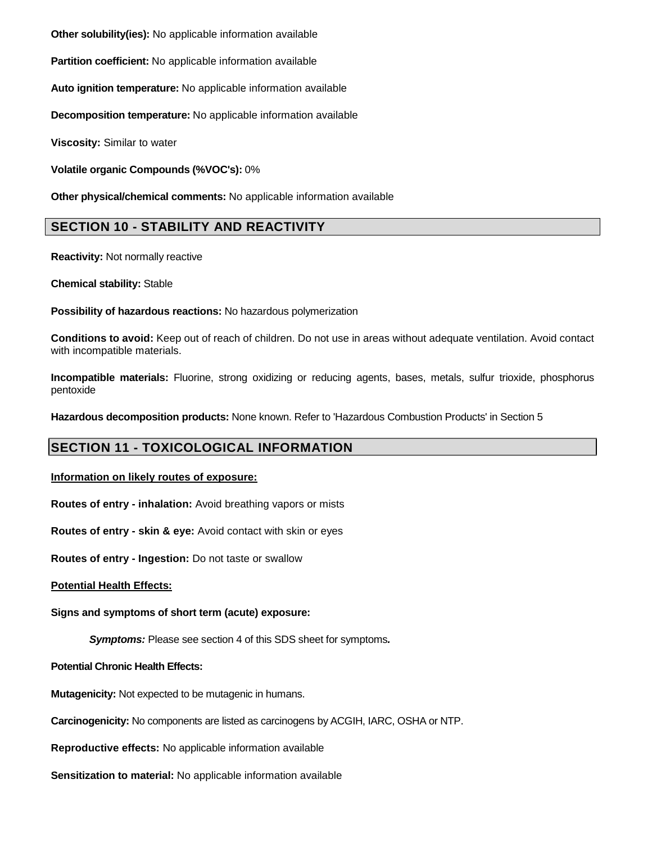**Other solubility(ies):** No applicable information available

**Partition coefficient:** No applicable information available

**Auto ignition temperature:** No applicable information available

**Decomposition temperature:** No applicable information available

**Viscosity:** Similar to water

**Volatile organic Compounds (%VOC's):** 0%

**Other physical/chemical comments:** No applicable information available

### **SECTION 10 - STABILITY AND REACTIVITY**

**Reactivity:** Not normally reactive

**Chemical stability:** Stable

**Possibility of hazardous reactions:** No hazardous polymerization

**Conditions to avoid:** Keep out of reach of children. Do not use in areas without adequate ventilation. Avoid contact with incompatible materials.

**Incompatible materials:** Fluorine, strong oxidizing or reducing agents, bases, metals, sulfur trioxide, phosphorus pentoxide

**Hazardous decomposition products:** None known. Refer to 'Hazardous Combustion Products' in Section 5

### **SECTION 11 - TOXICOLOGICAL INFORMATION**

#### **Information on likely routes of exposure:**

**Routes of entry - inhalation:** Avoid breathing vapors or mists

**Routes of entry - skin & eye:** Avoid contact with skin or eyes

**Routes of entry - Ingestion:** Do not taste or swallow

#### **Potential Health Effects:**

**Signs and symptoms of short term (acute) exposure:** 

**Symptoms:** Please see section 4 of this SDS sheet for symptoms**.**

**Potential Chronic Health Effects:**

**Mutagenicity:** Not expected to be mutagenic in humans.

**Carcinogenicity:** No components are listed as carcinogens by ACGIH, IARC, OSHA or NTP.

**Reproductive effects:** No applicable information available

**Sensitization to material:** No applicable information available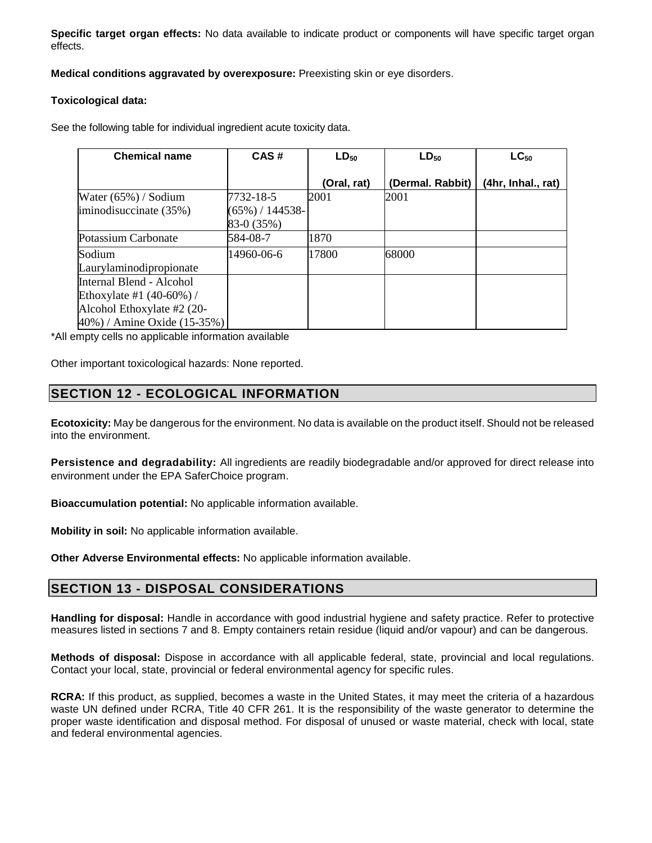**Specific target organ effects:** No data available to indicate product or components will have specific target organ effects.

**Medical conditions aggravated by overexposure:** Preexisting skin or eye disorders.

#### **Toxicological data:**

See the following table for individual ingredient acute toxicity data.

| <b>Chemical name</b>        | CAS#                | $LD_{50}$   | $LD_{50}$        | $LC_{50}$          |
|-----------------------------|---------------------|-------------|------------------|--------------------|
|                             |                     | (Oral, rat) | (Dermal. Rabbit) | (4hr, Inhal., rat) |
| Water $(65%)$ / Sodium      | 7732-18-5           | 2001        | 2001             |                    |
| iminodisuccinate (35%)      | $(65\%) / 144538$ - |             |                  |                    |
|                             | 83-0 (35%)          |             |                  |                    |
| Potassium Carbonate         | 584-08-7            | 1870        |                  |                    |
| Sodium                      | 14960-06-6          | 17800       | 68000            |                    |
| Laurylaminodipropionate     |                     |             |                  |                    |
| Internal Blend - Alcohol    |                     |             |                  |                    |
| Ethoxylate #1 $(40-60%)/$   |                     |             |                  |                    |
| Alcohol Ethoxylate #2 (20-  |                     |             |                  |                    |
| 40%) / Amine Oxide (15-35%) |                     |             |                  |                    |

\*All empty cells no applicable information available

Other important toxicological hazards: None reported.

### **SECTION 12 - ECOLOGICAL INFORMATION**

**Ecotoxicity:** May be dangerous for the environment. No data is available on the product itself. Should not be released into the environment.

**Persistence and degradability:** All ingredients are readily biodegradable and/or approved for direct release into environment under the EPA SaferChoice program.

**Bioaccumulation potential:** No applicable information available.

**Mobility in soil:** No applicable information available.

**Other Adverse Environmental effects:** No applicable information available.

### **SECTION 13 - DISPOSAL CONSIDERATIONS**

**Handling for disposal:** Handle in accordance with good industrial hygiene and safety practice. Refer to protective measures listed in sections 7 and 8. Empty containers retain residue (liquid and/or vapour) and can be dangerous.

**Methods of disposal:** Dispose in accordance with all applicable federal, state, provincial and local regulations. Contact your local, state, provincial or federal environmental agency for specific rules.

**RCRA:** If this product, as supplied, becomes a waste in the United States, it may meet the criteria of a hazardous waste UN defined under RCRA, Title 40 CFR 261. It is the responsibility of the waste generator to determine the proper waste identification and disposal method. For disposal of unused or waste material, check with local, state and federal environmental agencies.